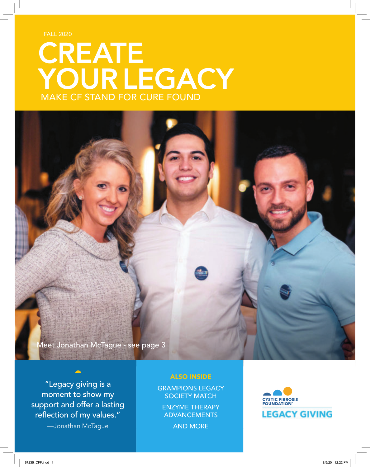FALL 2020

# **CREATE** YOUR LEGACY MAKE CF STAND FOR CURE FOUND

Meet Jonathan McTague - see page 3

"Legacy giving is a moment to show my support and offer a lasting reflection of my values."

—Jonathan McTague

#### ALSO INSIDE

GRAMPIONS LEGACY SOCIETY MATCH ENZYME THERAPY ADVANCEMENTS AND MORE

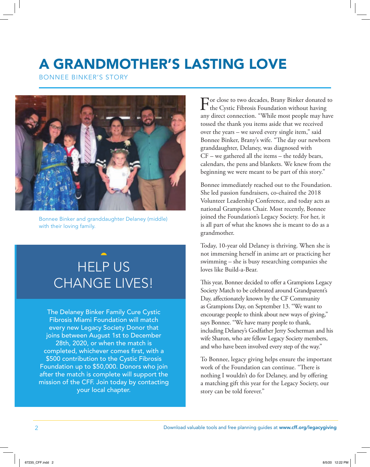### A GRANDMOTHER'S LASTING LOVE

BONNEE BINKER'S STORY



Bonnee Binker and granddaughter Delaney (middle) with their loving family.

## HELP US CHANGE LIVES!

The Delaney Binker Family Cure Cystic Fibrosis Miami Foundation will match every new Legacy Society Donor that joins between August 1st to December 28th, 2020, or when the match is completed, whichever comes first, with a \$500 contribution to the Cystic Fibrosis Foundation up to \$50,000. Donors who join after the match is complete will support the mission of the CFF. Join today by contacting your local chapter.

For close to two decades, Brany Binker donated to<br>the Cystic Fibrosis Foundation without having any direct connection. "While most people may have tossed the thank you items aside that we received over the years – we saved every single item," said Bonnee Binker, Brany's wife. "The day our newborn granddaughter, Delaney, was diagnosed with CF – we gathered all the items – the teddy bears, calendars, the pens and blankets. We knew from the beginning we were meant to be part of this story."

Bonnee immediately reached out to the Foundation. She led passion fundraisers, co-chaired the 2018 Volunteer Leadership Conference, and today acts as national Grampions Chair. Most recently, Bonnee joined the Foundation's Legacy Society. For her, it is all part of what she knows she is meant to do as a grandmother.

Today, 10-year old Delaney is thriving. When she is not immersing herself in anime art or practicing her swimming – she is busy researching companies she loves like Build-a-Bear.

This year, Bonnee decided to offer a Grampions Legacy Society Match to be celebrated around Grandparent's Day, affectionately known by the CF Community as Grampions Day, on September 13. "We want to encourage people to think about new ways of giving," says Bonnee. "We have many people to thank, including Delaney's Godfather Jerry Socherman and his wife Sharon, who are fellow Legacy Society members, and who have been involved every step of the way."

To Bonnee, legacy giving helps ensure the important work of the Foundation can continue. "There is nothing I wouldn't do for Delaney, and by offering a matching gift this year for the Legacy Society, our story can be told forever."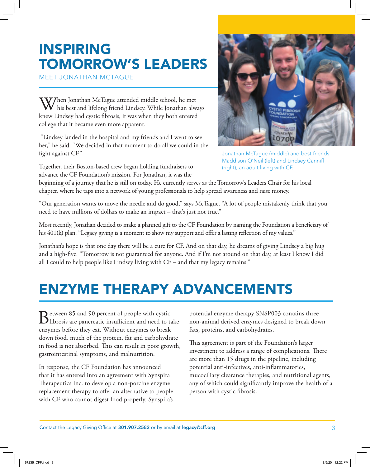### INSPIRING TOMORROW'S LEADERS

MEET JONATHAN MCTAGUE

When Jonathan McTague attended middle school, he met his best and lifelong friend Lindsey. While Jonathan always knew Lindsey had cystic fibrosis, it was when they both entered college that it became even more apparent.

 "Lindsey landed in the hospital and my friends and I went to see her," he said. "We decided in that moment to do all we could in the fight against CF."

Together, their Boston-based crew began holding fundraisers to advance the CF Foundation's mission. For Jonathan, it was the



Jonathan McTague (middle) and best friends Maddison O'Neil (left) and Lindsey Canniff (right), an adult living with CF.

beginning of a journey that he is still on today. He currently serves as the Tomorrow's Leaders Chair for his local chapter, where he taps into a network of young professionals to help spread awareness and raise money.

"Our generation wants to move the needle and do good," says McTague. "A lot of people mistakenly think that you need to have millions of dollars to make an impact – that's just not true."

Most recently, Jonathan decided to make a planned gift to the CF Foundation by naming the Foundation a beneficiary of his 401(k) plan. "Legacy giving is a moment to show my support and offer a lasting reflection of my values."

Jonathan's hope is that one day there will be a cure for CF. And on that day, he dreams of giving Lindsey a big hug and a high-five. "Tomorrow is not guaranteed for anyone. And if I'm not around on that day, at least I know I did all I could to help people like Lindsey living with CF – and that my legacy remains."

### ENZYME THERAPY ADVANCEMENTS

Between 85 and 90 percent of people with cystic<br>
fibrosis are pancreatic insufficient and need to take enzymes before they eat. Without enzymes to break down food, much of the protein, fat and carbohydrate in food is not absorbed. This can result in poor growth, gastrointestinal symptoms, and malnutrition.

In response, the CF Foundation has announced that it has entered into an agreement with Synspira Therapeutics Inc. to develop a non-porcine enzyme replacement therapy to offer an alternative to people with CF who cannot digest food properly. Synspira's potential enzyme therapy SNSP003 contains three non-animal derived enzymes designed to break down fats, proteins, and carbohydrates.

This agreement is part of the Foundation's larger investment to address a range of complications. There are more than 15 drugs in the pipeline, including potential anti-infectives, anti-inflammatories, mucociliary clearance therapies, and nutritional agents, any of which could significantly improve the health of a person with cystic fibrosis.